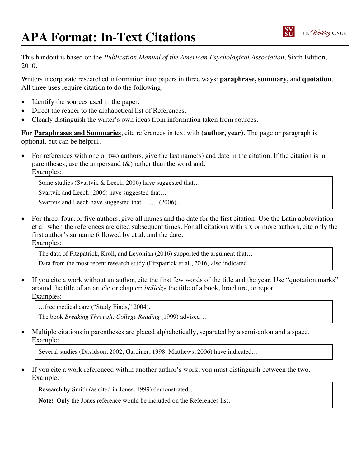## **APA Format: In-Text Citations**



This handout is based on the *Publication Manual of the American Psychological Association*, Sixth Edition, 2010.

Writers incorporate researched information into papers in three ways: **paraphrase, summary,** and **quotation**. All three uses require citation to do the following:

- Identify the sources used in the paper.
- Direct the reader to the alphabetical list of References.
- Clearly distinguish the writer's own ideas from information taken from sources.

**For Paraphrases and Summaries**, cite references in text with **(author, year)**. The page or paragraph is optional, but can be helpful.

• For references with one or two authors, give the last name(s) and date in the citation. If the citation is in parentheses, use the ampersand  $(\&)$  rather than the word and. Examples:

Some studies (Svartvik & Leech, 2006) have suggested that...

Svartvik and Leech (2006) have suggested that…

Svartvik and Leech have suggested that ....... (2006).

• For three, four, or five authors, give all names and the date for the first citation. Use the Latin abbreviation et al. when the references are cited subsequent times. For all citations with six or more authors, cite only the first author's surname followed by et al. and the date. Examples:

The data of Fitzpatrick, Kroll, and Levonian (2016) supported the argument that…

Data from the most recent research study (Fitzpatrick et al., 2016) also indicated...

• If you cite a work without an author, cite the first few words of the title and the year. Use "quotation marks" around the title of an article or chapter; *italicize* the title of a book, brochure, or report. Examples:

…free medical care ("Study Finds," 2004).

The book *Breaking Through: College Reading* (1999) advised…

• Multiple citations in parentheses are placed alphabetically, separated by a semi-colon and a space. Example:

Several studies (Davidson, 2002; Gardiner, 1998; Matthews, 2006) have indicated…

• If you cite a work referenced within another author's work, you must distinguish between the two. Example:

Research by Smith (as cited in Jones, 1999) demonstrated…

**Note:** Only the Jones reference would be included on the References list.